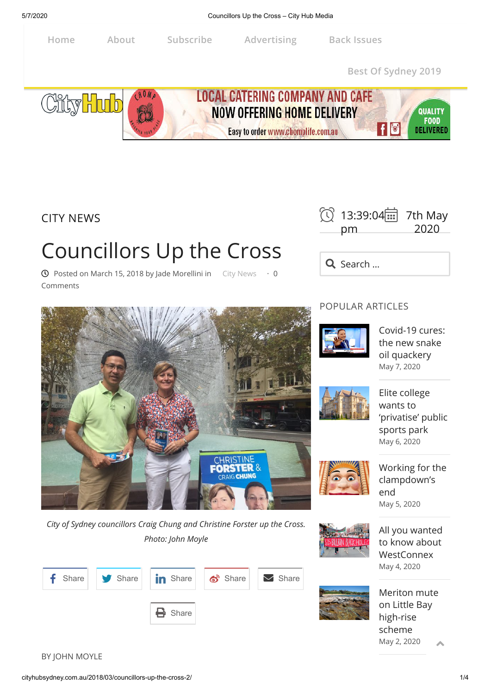

CITY NEWS

# Councillors Up the Cross

 $\odot$  Posted on [March 15, 2018](http://cityhubsydney.com.au/2018/03/councillors-up-the-cross-2/) by [Jade Morellini](http://cityhubsydney.com.au/author/jade-morellini/) in [City News](http://cityhubsydney.com.au/category/city-news/)  $\cdot$  0 Comments



Q Search ...

### POPULAR ARTICLES



[Covid-19 cures:](http://cityhubsydney.com.au/2020/05/covid-19-cures-the-new-snake-oil-quackery/) the new snake oil quackery [May 7, 2020](http://cityhubsydney.com.au/2020/05/covid-19-cures-the-new-snake-oil-quackery/)



Elite college wants to ['privatise' public](http://cityhubsydney.com.au/2020/05/elite-college-wants-to-privatise-public-sports-park/) sports park [May 6, 2020](http://cityhubsydney.com.au/2020/05/elite-college-wants-to-privatise-public-sports-park/)



[Working for the](http://cityhubsydney.com.au/2020/05/working-for-the-clampdowns-end/) clampdown's end

[May 5, 2020](http://cityhubsydney.com.au/2020/05/working-for-the-clampdowns-end/)

[All you wanted](http://cityhubsydney.com.au/2020/05/all-you-wanted-to-know-about-westconnex/) to know about **WestConnex** [May 4, 2020](http://cityhubsydney.com.au/2020/05/all-you-wanted-to-know-about-westconnex/)



[Meriton mute](http://cityhubsydney.com.au/2020/05/meriton-mute-on-little-bay-high-rise-scheme/) on Little Bay high-rise scheme

[May 2, 2020](http://cityhubsydney.com.au/2020/05/meriton-mute-on-little-bay-high-rise-scheme/)

**CHRISTINE** FORSTER

*City of Sydney councillors Craig Chung and Christine Forster up the Cross. Photo: John Moyle*



BY JOHN MOYLE

 $\blacktriangle$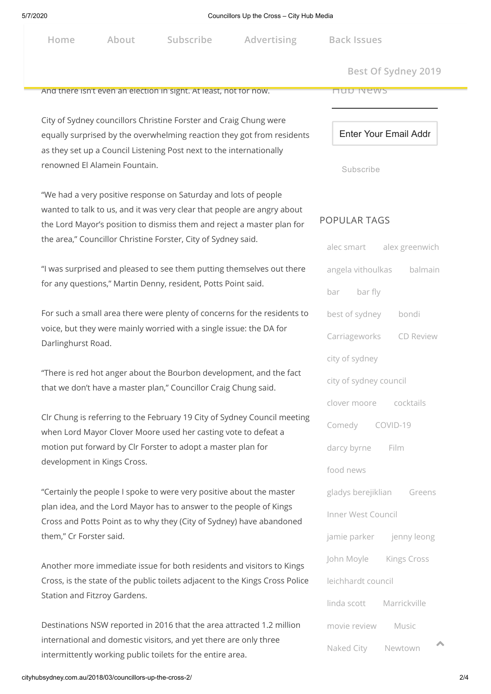| Advertising<br>Subscribe<br>About<br>Home |
|-------------------------------------------|
|-------------------------------------------|

**Home About Subscribe Advertising Back [Issues](http://issuu.com/altmedia)**

 $Best Of Sydney 2019$ 

#### And there isn't even an election in sight. At least, not for now.

City of Sydney councillors Christine Forster and Craig Chung were equally surprised by the overwhelming reaction they got from residents as they set up a Council Listening Post next to the internationally renowned El Alamein Fountain.

"We had a very positive response on Saturday and lots of people wanted to talk to us, and it was very clear that people are angry about the Lord Mayor's position to dismiss them and reject a master plan for the area," Councillor Christine Forster, City of Sydney said.

"I was surprised and pleased to see them putting themselves out there for any questions," Martin Denny, resident, Potts Point said.

For such a small area there were plenty of concerns for the residents to voice, but they were mainly worried with a single issue: the DA for Darlinghurst Road.

"There is red hot anger about the Bourbon development, and the fact that we don't have a master plan," Councillor Craig Chung said.

Clr Chung is referring to the February 19 City of Sydney Council meeting when Lord Mayor Clover Moore used her casting vote to defeat a motion put forward by Clr Forster to adopt a master plan for development in Kings Cross.

"Certainly the people I spoke to were very positive about the master plan idea, and the Lord Mayor has to answer to the people of Kings Cross and Potts Point as to why they (City of Sydney) have abandoned them," Cr Forster said.

Another more immediate issue for both residents and visitors to Kings Cross, is the state of the public toilets adjacent to the Kings Cross Police Station and Fitzroy Gardens.

Destinations NSW reported in 2016 that the area attracted 1.2 million international and domestic visitors, and yet there are only three intermittently working public toilets for the entire area.

Hub News

Enter Your Email Addr

Subscribe

#### POPULAR TAGS

|                          | alec smart alex greenwich |  |
|--------------------------|---------------------------|--|
|                          | angela vithoulkas balmain |  |
| bar bar fly              |                           |  |
| best of sydney bondi     |                           |  |
|                          | Carriageworks CD Review   |  |
| city of sydney           |                           |  |
| city of sydney council   |                           |  |
| clover moore cocktails   |                           |  |
| Comedy COVID-19          |                           |  |
| darcy byrne Film         |                           |  |
| food news                |                           |  |
|                          | gladys berejiklian Greens |  |
| Inner West Council       |                           |  |
| jamie parker jenny leong |                           |  |
| John Moyle Kings Cross   |                           |  |
| leichhardt council       |                           |  |
| linda scott Marrickville |                           |  |
| movie review Music       |                           |  |
| Naked City Newtown       | 木                         |  |